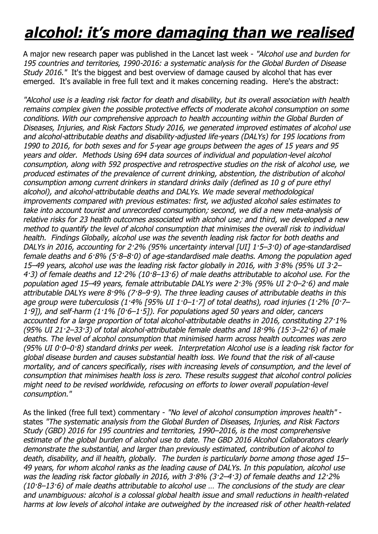## *alcohol: it's more damaging than we realised*

A major new research paper was published in the Lancet last week - *"Alcohol use and burden for 195 countries and territories, 1990-2016: a systematic analysis for the Global Burden of Disease Study 2016."* It's the biggest and best overview of damage caused by alcohol that has ever emerged. It's available in free full text and it makes concerning reading. Here's the abstract:

*"Alcohol use is a leading risk factor for death and disability, but its overall association with health remains complex given the possible protective effects of moderate alcohol consumption on some conditions. With our comprehensive approach to health accounting within the Global Burden of Diseases, Injuries, and Risk Factors Study 2016, we generated improved estimates of alcohol use and alcohol-attributable deaths and disability-adjusted life-years (DALYs) for 195 locations from 1990 to 2016, for both sexes and for 5-year age groups between the ages of 15 years and 95 years and older. Methods Using 694 data sources of individual and population-level alcohol consumption, along with 592 prospective and retrospective studies on the risk of alcohol use, we produced estimates of the prevalence of current drinking, abstention, the distribution of alcohol consumption among current drinkers in standard drinks daily (defined as 10 g of pure ethyl alcohol), and alcohol-attributable deaths and DALYs. We made several methodological improvements compared with previous estimates: first, we adjusted alcohol sales estimates to take into account tourist and unrecorded consumption; second, we did a new meta-analysis of relative risks for 23 health outcomes associated with alcohol use; and third, we developed a new method to quantify the level of alcohol consumption that minimises the overall risk to individual health. Findings Globally, alcohol use was the seventh leading risk factor for both deaths and DALYs in 2016, accounting for 2·2% (95% uncertainty interval [UI] 1·5–3·0) of age-standardised female deaths and 6·8% (5·8–8·0) of age-standardised male deaths. Among the population aged 15–49 years, alcohol use was the leading risk factor globally in 2016, with 3·8% (95% UI 3·2– 4·3) of female deaths and 12·2% (10·8–13·6) of male deaths attributable to alcohol use. For the population aged 15–49 years, female attributable DALYs were 2·3% (95% UI 2·0–2·6) and male attributable DALYs were 8·9% (7·8–9·9). The three leading causes of attributable deaths in this age group were tuberculosis (1·4% [95% UI 1·0–1·7] of total deaths), road injuries (1·2% [0·7– 1·9]), and self-harm (1·1% [0·6–1·5]). For populations aged 50 years and older, cancers accounted for a large proportion of total alcohol-attributable deaths in 2016, constituting 27·1% (95% UI 21·2–33·3) of total alcohol-attributable female deaths and 18·9% (15·3–22·6) of male deaths. The level of alcohol consumption that minimised harm across health outcomes was zero (95% UI 0·0–0·8) standard drinks per week. Interpretation Alcohol use is a leading risk factor for global disease burden and causes substantial health loss. We found that the risk of all-cause mortality, and of cancers specifically, rises with increasing levels of consumption, and the level of consumption that minimises health loss is zero. These results suggest that alcohol control policies might need to be revised worldwide, refocusing on efforts to lower overall population-level consumption."*

As the linked (free full text) commentary - *"No level of alcohol consumption improves health"* states *"The systematic analysis from the Global Burden of Diseases, Injuries, and Risk Factors Study (GBD) 2016 for 195 countries and territories, 1990–2016, is the most comprehensive estimate of the global burden of alcohol use to date. The GBD 2016 Alcohol Collaborators clearly demonstrate the substantial, and larger than previously estimated, contribution of alcohol to death, disability, and ill health, globally. The burden is particularly borne among those aged 15– 49 years, for whom alcohol ranks as the leading cause of DALYs. In this population, alcohol use was the leading risk factor globally in 2016, with 3·8% (3·2–4·3) of female deaths and 12·2% (10·8–13·6) of male deaths attributable to alcohol use … The conclusions of the study are clear and unambiguous: alcohol is a colossal global health issue and small reductions in health-related harms at low levels of alcohol intake are outweighed by the increased risk of other health-related*